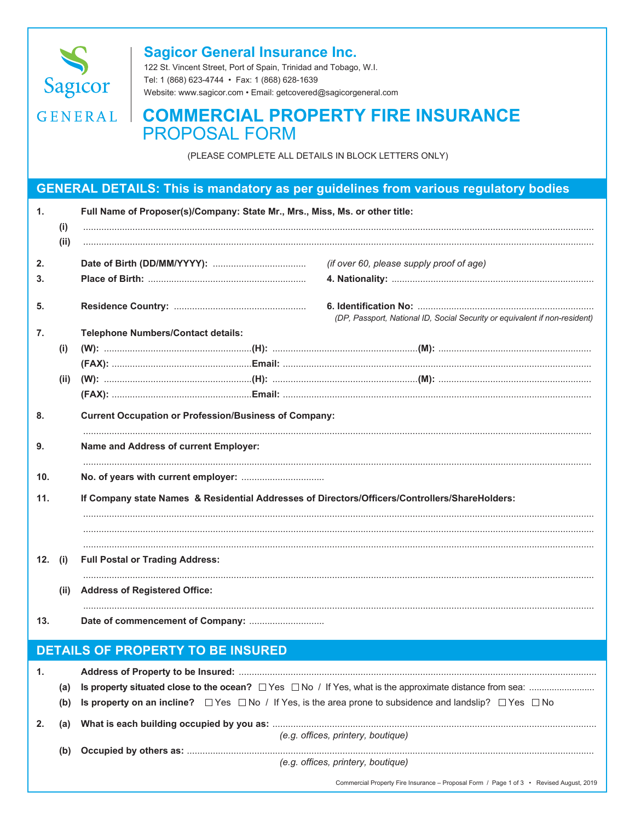

## **Sagicor General Insurance Inc.**

122 St. Vincent Street, Port of Spain, Trinidad and Tobago, W.I. Tel: 1 (868) 623-4744 · Fax: 1 (868) 628-1639 Website: www.sagicor.com · Email: getcovered@sagicorgeneral.com

## GENERAL | COMMERCIAL PROPERTY FIRE INSURANCE **PROPOSAL FORM**

(PLEASE COMPLETE ALL DETAILS IN BLOCK LETTERS ONLY)

## **GENERAL DETAILS: This is mandatory as per guidelines from various regulatory bodies**

| $\mathbf{1}$ . | (i)<br>(ii) | Full Name of Proposer(s)/Company: State Mr., Mrs., Miss, Ms. or other title:                   |                                                                            |  |  |  |
|----------------|-------------|------------------------------------------------------------------------------------------------|----------------------------------------------------------------------------|--|--|--|
| 2.             |             |                                                                                                | (if over 60, please supply proof of age)                                   |  |  |  |
| 3.             |             |                                                                                                |                                                                            |  |  |  |
| 5.             |             |                                                                                                | (DP, Passport, National ID, Social Security or equivalent if non-resident) |  |  |  |
| 7.             |             | <b>Telephone Numbers/Contact details:</b>                                                      |                                                                            |  |  |  |
|                | (i)         |                                                                                                |                                                                            |  |  |  |
|                |             |                                                                                                |                                                                            |  |  |  |
|                | (ii)        |                                                                                                |                                                                            |  |  |  |
|                |             |                                                                                                |                                                                            |  |  |  |
| 8.             |             | <b>Current Occupation or Profession/Business of Company:</b>                                   |                                                                            |  |  |  |
| 9.             |             | Name and Address of current Employer:                                                          |                                                                            |  |  |  |
| 10.            |             |                                                                                                |                                                                            |  |  |  |
| 11.            |             | If Company state Names & Residential Addresses of Directors/Officers/Controllers/ShareHolders: |                                                                            |  |  |  |
|                |             |                                                                                                |                                                                            |  |  |  |
| 12. (i)        |             | <b>Full Postal or Trading Address:</b>                                                         |                                                                            |  |  |  |
|                | (ii)        | <b>Address of Registered Office:</b>                                                           |                                                                            |  |  |  |
| 13.            |             |                                                                                                |                                                                            |  |  |  |
|                |             | <b>DETAILS OF PROPERTY TO BE INSURED</b>                                                       |                                                                            |  |  |  |

| 1.                                       |     |                                                                                                                                  |  |
|------------------------------------------|-----|----------------------------------------------------------------------------------------------------------------------------------|--|
|                                          | (a) |                                                                                                                                  |  |
|                                          |     | (b) Is property on an incline? $\Box$ Yes $\Box$ No / If Yes, is the area prone to subsidence and landslip? $\Box$ Yes $\Box$ No |  |
| 2.<br>(e.g. offices, printery, boutique) |     |                                                                                                                                  |  |
|                                          | (b) |                                                                                                                                  |  |
|                                          |     | (e.g. offices, printery, boutique)                                                                                               |  |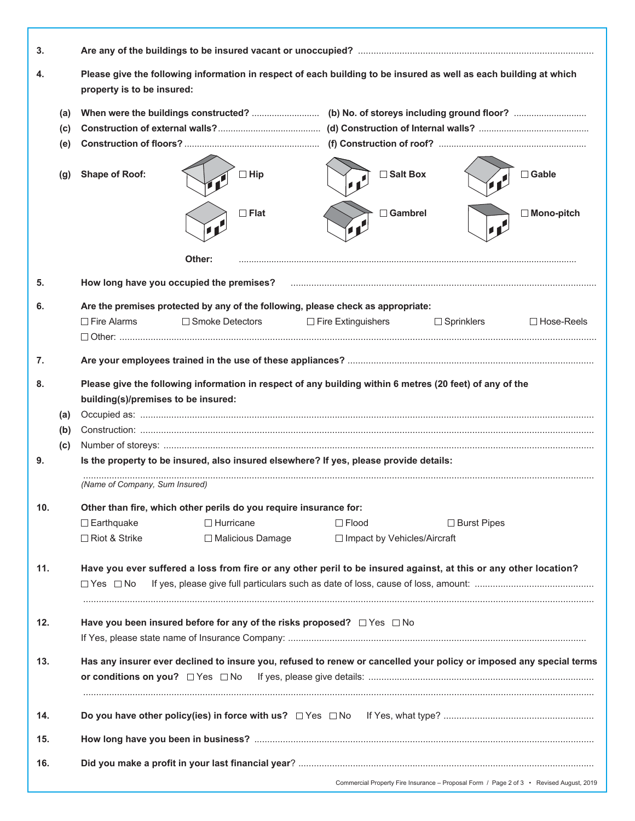| 3.                                                                                                                         |            |                                                                                                                                                 |                                                                   |                                                                                                                  |                    |                                                                                         |
|----------------------------------------------------------------------------------------------------------------------------|------------|-------------------------------------------------------------------------------------------------------------------------------------------------|-------------------------------------------------------------------|------------------------------------------------------------------------------------------------------------------|--------------------|-----------------------------------------------------------------------------------------|
| 4.                                                                                                                         |            | Please give the following information in respect of each building to be insured as well as each building at which<br>property is to be insured: |                                                                   |                                                                                                                  |                    |                                                                                         |
|                                                                                                                            | (a)        |                                                                                                                                                 |                                                                   |                                                                                                                  |                    |                                                                                         |
|                                                                                                                            | (c)<br>(e) |                                                                                                                                                 |                                                                   |                                                                                                                  |                    |                                                                                         |
|                                                                                                                            |            |                                                                                                                                                 |                                                                   |                                                                                                                  |                    |                                                                                         |
|                                                                                                                            | (g)        | <b>Shape of Roof:</b>                                                                                                                           | $\Box$ Hip                                                        | □ Salt Box                                                                                                       |                    | $\Box$ Gable                                                                            |
|                                                                                                                            |            |                                                                                                                                                 | $\Box$ Flat                                                       | Gambrel                                                                                                          |                    | $\Box$ Mono-pitch                                                                       |
|                                                                                                                            |            |                                                                                                                                                 | Other:                                                            |                                                                                                                  |                    |                                                                                         |
|                                                                                                                            |            |                                                                                                                                                 |                                                                   |                                                                                                                  |                    |                                                                                         |
| 5.                                                                                                                         |            |                                                                                                                                                 | How long have you occupied the premises?                          |                                                                                                                  |                    |                                                                                         |
| 6.                                                                                                                         |            |                                                                                                                                                 |                                                                   | Are the premises protected by any of the following, please check as appropriate:                                 |                    |                                                                                         |
|                                                                                                                            |            | $\Box$ Fire Alarms                                                                                                                              | $\Box$ Smoke Detectors                                            | $\Box$ Fire Extinguishers                                                                                        | $\Box$ Sprinklers  | $\Box$ Hose-Reels                                                                       |
|                                                                                                                            |            |                                                                                                                                                 |                                                                   |                                                                                                                  |                    |                                                                                         |
| 7.                                                                                                                         |            |                                                                                                                                                 |                                                                   |                                                                                                                  |                    |                                                                                         |
| 8.                                                                                                                         |            |                                                                                                                                                 |                                                                   | Please give the following information in respect of any building within 6 metres (20 feet) of any of the         |                    |                                                                                         |
|                                                                                                                            |            | building(s)/premises to be insured:                                                                                                             |                                                                   |                                                                                                                  |                    |                                                                                         |
|                                                                                                                            | (a)        |                                                                                                                                                 |                                                                   |                                                                                                                  |                    |                                                                                         |
|                                                                                                                            | (b)        |                                                                                                                                                 |                                                                   |                                                                                                                  |                    |                                                                                         |
|                                                                                                                            | (c)        |                                                                                                                                                 |                                                                   |                                                                                                                  |                    |                                                                                         |
| 9.                                                                                                                         |            |                                                                                                                                                 |                                                                   | Is the property to be insured, also insured elsewhere? If yes, please provide details:                           |                    |                                                                                         |
|                                                                                                                            |            | (Name of Company, Sum Insured)                                                                                                                  |                                                                   |                                                                                                                  |                    |                                                                                         |
| 10.                                                                                                                        |            |                                                                                                                                                 | Other than fire, which other perils do you require insurance for: |                                                                                                                  |                    |                                                                                         |
|                                                                                                                            |            | $\square$ Earthquake                                                                                                                            | $\Box$ Hurricane                                                  | $\Box$ Flood                                                                                                     | $\Box$ Burst Pipes |                                                                                         |
|                                                                                                                            |            | $\Box$ Riot & Strike                                                                                                                            | □ Malicious Damage                                                | $\Box$ Impact by Vehicles/Aircraft                                                                               |                    |                                                                                         |
|                                                                                                                            |            |                                                                                                                                                 |                                                                   |                                                                                                                  |                    |                                                                                         |
| 11.                                                                                                                        |            |                                                                                                                                                 |                                                                   | Have you ever suffered a loss from fire or any other peril to be insured against, at this or any other location? |                    |                                                                                         |
|                                                                                                                            |            | $\Box$ Yes $\Box$ No                                                                                                                            |                                                                   |                                                                                                                  |                    |                                                                                         |
|                                                                                                                            |            |                                                                                                                                                 |                                                                   |                                                                                                                  |                    |                                                                                         |
| 12.                                                                                                                        |            | Have you been insured before for any of the risks proposed? □ Yes □ No                                                                          |                                                                   |                                                                                                                  |                    |                                                                                         |
|                                                                                                                            |            |                                                                                                                                                 |                                                                   |                                                                                                                  |                    |                                                                                         |
| 13.<br>Has any insurer ever declined to insure you, refused to renew or cancelled your policy or imposed any special terms |            |                                                                                                                                                 |                                                                   |                                                                                                                  |                    |                                                                                         |
|                                                                                                                            |            | or conditions on you? $\Box$ Yes $\Box$ No                                                                                                      |                                                                   |                                                                                                                  |                    |                                                                                         |
|                                                                                                                            |            |                                                                                                                                                 |                                                                   |                                                                                                                  |                    |                                                                                         |
| 14.                                                                                                                        |            |                                                                                                                                                 |                                                                   |                                                                                                                  |                    |                                                                                         |
| 15.                                                                                                                        |            |                                                                                                                                                 |                                                                   |                                                                                                                  |                    |                                                                                         |
| 16.                                                                                                                        |            |                                                                                                                                                 |                                                                   |                                                                                                                  |                    |                                                                                         |
|                                                                                                                            |            |                                                                                                                                                 |                                                                   |                                                                                                                  |                    |                                                                                         |
|                                                                                                                            |            |                                                                                                                                                 |                                                                   |                                                                                                                  |                    | Commercial Property Fire Insurance - Proposal Form / Page 2 of 3 • Revised August, 2019 |